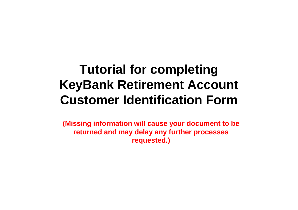## **Tutorial for completing KeyBank Retirement Account Customer Identification Form**

**(Missing information will cause your document to be returned and may delay any further processes requested.)**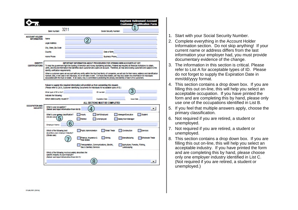|                                           |                                                                                                                                                                                                                                                                                                                                                                                                                                                                                                                                                                                                                                                                                                                                                                                                                                                                    | <b>KeyBank Retirement Account</b><br><b>Customer Identification Form</b>                                                                                                                                               |
|-------------------------------------------|--------------------------------------------------------------------------------------------------------------------------------------------------------------------------------------------------------------------------------------------------------------------------------------------------------------------------------------------------------------------------------------------------------------------------------------------------------------------------------------------------------------------------------------------------------------------------------------------------------------------------------------------------------------------------------------------------------------------------------------------------------------------------------------------------------------------------------------------------------------------|------------------------------------------------------------------------------------------------------------------------------------------------------------------------------------------------------------------------|
|                                           | Bank Number: 3211                                                                                                                                                                                                                                                                                                                                                                                                                                                                                                                                                                                                                                                                                                                                                                                                                                                  | Social Security Number:                                                                                                                                                                                                |
| <b>ACCOUNT HOLDER</b><br>INFORMATION Name |                                                                                                                                                                                                                                                                                                                                                                                                                                                                                                                                                                                                                                                                                                                                                                                                                                                                    |                                                                                                                                                                                                                        |
|                                           | Legal Address                                                                                                                                                                                                                                                                                                                                                                                                                                                                                                                                                                                                                                                                                                                                                                                                                                                      |                                                                                                                                                                                                                        |
|                                           | City, State, Zip Code                                                                                                                                                                                                                                                                                                                                                                                                                                                                                                                                                                                                                                                                                                                                                                                                                                              |                                                                                                                                                                                                                        |
|                                           | Country                                                                                                                                                                                                                                                                                                                                                                                                                                                                                                                                                                                                                                                                                                                                                                                                                                                            | Date of Birth                                                                                                                                                                                                          |
|                                           | Home Phone                                                                                                                                                                                                                                                                                                                                                                                                                                                                                                                                                                                                                                                                                                                                                                                                                                                         | Business Phone                                                                                                                                                                                                         |
| <b>IDENTITY</b><br><b>CERTIFICATIONS</b>  | IMPORTANT INFORMATION ABOUT PROCEDURES FOR OPENING NEW ACCOUNTS AT KEY<br>To help the government fight the funding of terrorism and money laundering activities. Federal law requires all financial institutions to obtain,<br>verify, and record information that lidentifies each customer who opens an account. Therefore, all new and existing customers are subject to the<br>idently vertication requirements.<br>When a customer opens an account with any entity within the KeyCorp family of companies, we will ask for their name, address and identification<br>humper, and, in the case of an individual, his of her date of prim, Hor trusts and estates, we may also cotain this imprimation for individuals<br>associated with the trust or estate. In all cases, Key is committed to protecting the privacy and identity of each of its customers. |                                                                                                                                                                                                                        |
|                                           | What last of 10 to this?                                                                                                                                                                                                                                                                                                                                                                                                                                                                                                                                                                                                                                                                                                                                                                                                                                           | Failure to supply this required information will prohibit us from completing this request.<br>(Please refer to List A. Customer Identifying Documents for Individuals for acceptable types of ID.)<br><b>ID number</b> |
|                                           | Indicate the following:                                                                                                                                                                                                                                                                                                                                                                                                                                                                                                                                                                                                                                                                                                                                                                                                                                            |                                                                                                                                                                                                                        |
|                                           | Which state/country issued it?                                                                                                                                                                                                                                                                                                                                                                                                                                                                                                                                                                                                                                                                                                                                                                                                                                     | Expiration Date<br><b>Issue Date</b>                                                                                                                                                                                   |
| <b>OCCUPATION AND</b><br><b>INDUSTRY</b>  | What is your occupation?<br>(Select and input information from list B)                                                                                                                                                                                                                                                                                                                                                                                                                                                                                                                                                                                                                                                                                                                                                                                             | ALL SECTIONS MUST BE COMPLETED<br>▾                                                                                                                                                                                    |
|                                           | What is your worker classification?<br>(Girde und)                                                                                                                                                                                                                                                                                                                                                                                                                                                                                                                                                                                                                                                                                                                                                                                                                 | Self-Employed<br>Student<br>Housty<br>Manager/Executive<br><b>Dette d</b><br>Unemployed<br>Salary/Non-Manager                                                                                                          |
|                                           | 6<br>Employer Name:                                                                                                                                                                                                                                                                                                                                                                                                                                                                                                                                                                                                                                                                                                                                                                                                                                                |                                                                                                                                                                                                                        |
|                                           | Which of the following best<br>depertises your employer industry?<br>(Circle one)                                                                                                                                                                                                                                                                                                                                                                                                                                                                                                                                                                                                                                                                                                                                                                                  | <b>Public Administration</b><br><b>Real Trade</b><br>Construction<br>Services <sup>®</sup><br>Finance, Insurance &<br>Mairo<br>Manufacturing<br>Wholesale Trade<br><b><i>Leal English</i></b>                          |
|                                           |                                                                                                                                                                                                                                                                                                                                                                                                                                                                                                                                                                                                                                                                                                                                                                                                                                                                    | Transportation, Communications, Electric,<br>Agriculture, Foresty, Fishing,<br>Ges & Sanitary Services<br>Landsceping                                                                                                  |
|                                           | Which of the following most accurately describes the<br>specific industry of your employer?                                                                                                                                                                                                                                                                                                                                                                                                                                                                                                                                                                                                                                                                                                                                                                        |                                                                                                                                                                                                                        |
|                                           | (Select and local information from list (3)                                                                                                                                                                                                                                                                                                                                                                                                                                                                                                                                                                                                                                                                                                                                                                                                                        |                                                                                                                                                                                                                        |

- 1. Start with your Social Security Number.
- 2. Complete everything in the Account Holder Information section. Do not skip anything! If your current name or address differs from the last information your employer had, you must provide documentary evidence of the change.
- 3. The information in this section is critical. Please refer to List A for acceptable types of ID. Please do not forget to supply the Expiration Date in mm/dd/yyyy format.
- 4. This section contains a drop down box. If you are filling this out on-line, this will help you select an acceptable occupation. If you have printed the form and are completing this by hand, please only use one of the occupations identified in List B.
- 5. If you feel that multiple answers apply, choose the primary classification.
- 6. Not required if you are retired, a student or unemployed.
- 7. Not required if you are retired, a student or unemployed.
- 8. This section contains a drop down box. If you are filling this out on-line, this will help you select an acceptable industry. If you have printed the form and are completing this by hand, please choose only one employer industry identified in List C. (Not required if you are retired, a student or unemployed.)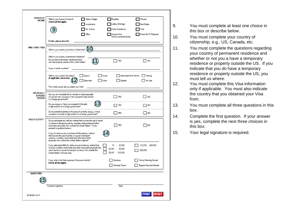| SOURCE OF<br>INCOME                     | What is your Source of Income?<br>(Check all that apply)                                                                                                                                                                                    | Salary/ Wages<br>Investments | Royalties<br>Lottery Winnings                            | Pension<br>Real Estate                           |
|-----------------------------------------|---------------------------------------------------------------------------------------------------------------------------------------------------------------------------------------------------------------------------------------------|------------------------------|----------------------------------------------------------|--------------------------------------------------|
|                                         |                                                                                                                                                                                                                                             | No Income                    | Public Assistance                                        | Trust                                            |
|                                         |                                                                                                                                                                                                                                             | Other                        | Income From<br>Family Owned Business                     | Chase Nat To Respond                             |
|                                         | If other, please describe:                                                                                                                                                                                                                  |                              |                                                          |                                                  |
| NRA / OFAC / VISA                       | What is your country (countries) of oitizenship?                                                                                                                                                                                            |                              |                                                          |                                                  |
|                                         | What is your country of permanent residence?<br>Do you have a temporary residence and/or<br>own real property outside of the United States?                                                                                                 |                              | YES                                                      | NO                                               |
|                                         | If yes, in which countries?                                                                                                                                                                                                                 |                              |                                                          |                                                  |
|                                         | What is your current Visa status?<br>(If applicable, check one)                                                                                                                                                                             | Asylum<br>Diplomatic         | Authorized Work Permit<br>Tourist<br>Visitor<br>Student  | Training<br>No Visa                              |
|                                         | From what country did you obtain your Visa?                                                                                                                                                                                                 |                              |                                                          |                                                  |
| POLITICALLY<br><b>EXPOSED</b><br>PERSON | Are you, an immediate family member or close associate<br>of a person who occupies or has occupied a high position<br>in a foreign government?                                                                                              |                              | YES                                                      | <b>NO</b>                                        |
|                                         | Do you occupy, or have you occupied in the past,<br>a high position for a foreign government?                                                                                                                                               |                              | TYES                                                     | NO                                               |
|                                         | Do any beneficial parties to the account currently occupy, or have<br>occupied in the past, a high position for a foreign government?                                                                                                       |                              | YES                                                      | I NO                                             |
| POUCH ACTIVITY                          | Do you anticipate any delivery method that involves the use of carrier<br>or courier to transport currency, monetary instruments and other<br>documents physically from outside the United States? (If yes,<br>proceed to questions below.) |                              | YES                                                      | NO                                               |
|                                         | If yes, for what country (countries) will the delivery method<br>that involves the use of carrier or courier to transport<br>currency, monetary instruments and other documents<br>physically from outside the United States originate?     |                              |                                                          |                                                  |
|                                         | If yes, estimated ANNUAL dollar amount of delivery method that<br>involves monetary instruments and other documents physically the<br>use of carrier or courier to transport currency, from outside the<br>United States? (Choose one)      |                              | $$1 - $3,000$<br>\$3,001 - \$5,000<br>\$5,001 - \$10,000 | \$10,001 -\$25,000<br>>525.000                   |
|                                         | If yes, what is the likely purpose of the pouch activity?<br>(Check all that apply)                                                                                                                                                         |                              | Business<br>Personal Travel                              | Family Residing Abroad<br>Regular Payment Abroad |
| SIGNATURES                              |                                                                                                                                                                                                                                             |                              |                                                          |                                                  |
|                                         |                                                                                                                                                                                                                                             |                              |                                                          |                                                  |
|                                         | Customer signature                                                                                                                                                                                                                          |                              | Date                                                     |                                                  |
| EF-68-2001 (4/11)                       |                                                                                                                                                                                                                                             |                              |                                                          | <b>RESET</b><br><b>PRINT</b>                     |

- 9. You must complete at least one choice in this box or describe below.
- 10. You must complete your country of citizenship, e.g., US, Canada, etc.
- 11. You must complete the questions regarding your country of permanent residence and whether or not you a have a temporary residence or property outside the US. If you indicate that you *do* have a temporary residence or property outside the US, you must tell us where.
- 12. You must complete this Visa information only if applicable. You must also indicate the country that you obtained your Visa from.
- 13. You must complete all three questions in this box.
- 14. Complete the first question. If your answer is yes, complete the next three choices in this box.

15. Your legal signature is required.